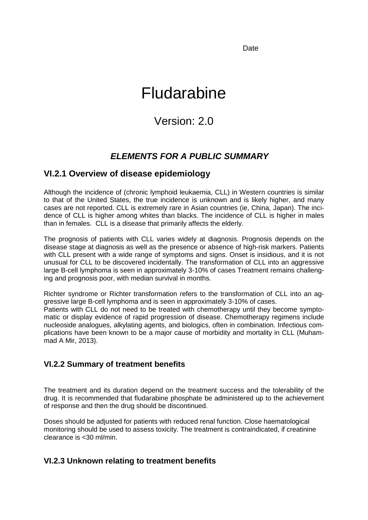Date

# Fludarabine

## Version: 2.0

### *ELEMENTS FOR A PUBLIC SUMMARY*

### **VI.2.1 Overview of disease epidemiology**

Although the incidence of (chronic lymphoid leukaemia, CLL) in Western countries is similar to that of the United States, the true incidence is unknown and is likely higher, and many cases are not reported. CLL is extremely rare in Asian countries (ie, China, Japan). The incidence of CLL is higher among whites than blacks. The incidence of CLL is higher in males than in females. CLL is a disease that primarily affects the elderly.

The prognosis of patients with CLL varies widely at diagnosis. Prognosis depends on the disease stage at diagnosis as well as the presence or absence of high-risk markers. Patients with CLL present with a wide range of symptoms and signs. Onset is insidious, and it is not unusual for CLL to be discovered incidentally. The transformation of CLL into an aggressive large B-cell lymphoma is seen in approximately 3-10% of cases Treatment remains challenging and prognosis poor, with median survival in months.

Richter syndrome or Richter transformation refers to the transformation of CLL into an aggressive large B-cell lymphoma and is seen in approximately 3-10% of cases. Patients with CLL do not need to be treated with chemotherapy until they become symptomatic or display evidence of rapid progression of disease. Chemotherapy regimens include nucleoside analogues, alkylating agents, and biologics, often in combination. Infectious complications have been known to be a major cause of morbidity and mortality in CLL (Muhammad A Mir, 2013).

#### **VI.2.2 Summary of treatment benefits**

The treatment and its duration depend on the treatment success and the tolerability of the drug. It is recommended that fludarabine phosphate be administered up to the achievement of response and then the drug should be discontinued.

Doses should be adjusted for patients with reduced renal function. Close haematological monitoring should be used to assess toxicity. The treatment is contraindicated, if creatinine clearance is <30 ml/min.

### **VI.2.3 Unknown relating to treatment benefits**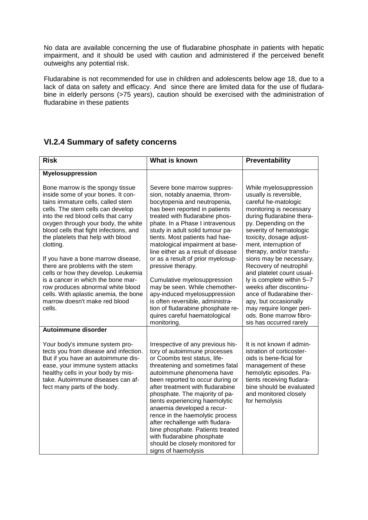No data are available concerning the use of fludarabine phosphate in patients with hepatic impairment, and it should be used with caution and administered if the perceived benefit outweighs any potential risk.

Fludarabine is not recommended for use in children and adolescents below age 18, due to a lack of data on safety and efficacy. And since there are limited data for the use of fludarabine in elderly persons (>75 years), caution should be exercised with the administration of fludarabine in these patients

### **VI.2.4 Summary of safety concerns**

| <b>Risk</b>                                                                                                                                                                                                                                                                                                                                                                                                                                                                                                                                                                                       | What is known                                                                                                                                                                                                                                                                                                                                                                                                                                                                                                                                  | Preventability                                                                                                                                                                                                                                                                                                                                                                                                                                                       |
|---------------------------------------------------------------------------------------------------------------------------------------------------------------------------------------------------------------------------------------------------------------------------------------------------------------------------------------------------------------------------------------------------------------------------------------------------------------------------------------------------------------------------------------------------------------------------------------------------|------------------------------------------------------------------------------------------------------------------------------------------------------------------------------------------------------------------------------------------------------------------------------------------------------------------------------------------------------------------------------------------------------------------------------------------------------------------------------------------------------------------------------------------------|----------------------------------------------------------------------------------------------------------------------------------------------------------------------------------------------------------------------------------------------------------------------------------------------------------------------------------------------------------------------------------------------------------------------------------------------------------------------|
| <b>Myelosuppression</b>                                                                                                                                                                                                                                                                                                                                                                                                                                                                                                                                                                           |                                                                                                                                                                                                                                                                                                                                                                                                                                                                                                                                                |                                                                                                                                                                                                                                                                                                                                                                                                                                                                      |
| Bone marrow is the spongy tissue<br>inside some of your bones. It con-<br>tains immature cells, called stem<br>cells. The stem cells can develop<br>into the red blood cells that carry<br>oxygen through your body, the white<br>blood cells that fight infections, and<br>the platelets that help with blood<br>clotting.<br>If you have a bone marrow disease,<br>there are problems with the stem<br>cells or how they develop. Leukemia<br>is a cancer in which the bone mar-<br>row produces abnormal white blood<br>cells. With aplastic anemia, the bone<br>marrow doesn't make red blood | Severe bone marrow suppres-<br>sion, notably anaemia, throm-<br>bocytopenia and neutropenia,<br>has been reported in patients<br>treated with fludarabine phos-<br>phate. In a Phase I intravenous<br>study in adult solid tumour pa-<br>tients. Most patients had hae-<br>matological impairment at base-<br>line either as a result of disease<br>or as a result of prior myelosup-<br>pressive therapy.<br>Cumulative myelosuppression<br>may be seen. While chemother-<br>apy-induced myelosuppression<br>is often reversible, administra- | While myelosuppression<br>usually is reversible,<br>careful he-matologic<br>monitoring is necessary<br>during fludarabine thera-<br>py. Depending on the<br>severity of hematologic<br>toxicity, dosage adjust-<br>ment, interruption of<br>therapy, and/or transfu-<br>sions may be necessary.<br>Recovery of neutrophil<br>and platelet count usual-<br>ly is complete within 5-7<br>weeks after discontinu-<br>ance of fludarabine ther-<br>apy, but occasionally |
| cells.                                                                                                                                                                                                                                                                                                                                                                                                                                                                                                                                                                                            | tion of fludarabine phosphate re-<br>quires careful haematological<br>monitoring.                                                                                                                                                                                                                                                                                                                                                                                                                                                              | may require longer peri-<br>ods. Bone marrow fibro-<br>sis has occurred rarely                                                                                                                                                                                                                                                                                                                                                                                       |
| Autoimmune disorder                                                                                                                                                                                                                                                                                                                                                                                                                                                                                                                                                                               |                                                                                                                                                                                                                                                                                                                                                                                                                                                                                                                                                |                                                                                                                                                                                                                                                                                                                                                                                                                                                                      |
| Your body's immune system pro-<br>tects you from disease and infection.<br>But if you have an autoimmune dis-<br>ease, your immune system attacks<br>healthy cells in your body by mis-<br>take. Autoimmune diseases can af-<br>fect many parts of the body.                                                                                                                                                                                                                                                                                                                                      | Irrespective of any previous his-<br>tory of autoimmune processes<br>or Coombs test status, life-<br>threatening and sometimes fatal<br>autoimmune phenomena have<br>been reported to occur during or<br>after treatment with fludarabine<br>phosphate. The majority of pa-<br>tients experiencing haemolytic<br>anaemia developed a recur-<br>rence in the haemolytic process<br>after rechallenge with fludara-<br>bine phosphate. Patients treated<br>with fludarabine phosphate<br>should be closely monitored for<br>signs of haemolysis  | It is not known if admin-<br>istration of corticoster-<br>oids is bene-ficial for<br>management of these<br>hemolytic episodes. Pa-<br>tients receiving fludara-<br>bine should be evaluated<br>and monitored closely<br>for hemolysis                                                                                                                                                                                                                               |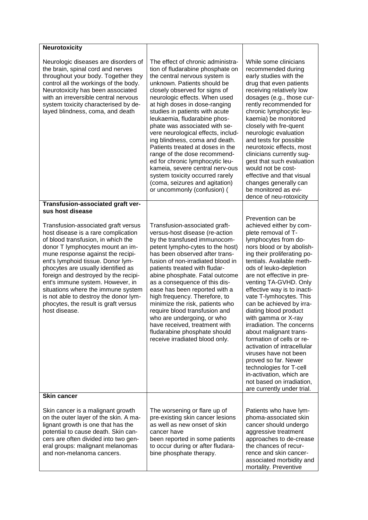| <b>Neurotoxicity</b>                                                                                                                                                                                                                                                                                                                                                                                                                                                                     |                                                                                                                                                                                                                                                                                                                                                                                                                                                                                                                                                                                                                                                                   |                                                                                                                                                                                                                                                                                                                                                                                                                                                                                                                                                                                                                                                                             |
|------------------------------------------------------------------------------------------------------------------------------------------------------------------------------------------------------------------------------------------------------------------------------------------------------------------------------------------------------------------------------------------------------------------------------------------------------------------------------------------|-------------------------------------------------------------------------------------------------------------------------------------------------------------------------------------------------------------------------------------------------------------------------------------------------------------------------------------------------------------------------------------------------------------------------------------------------------------------------------------------------------------------------------------------------------------------------------------------------------------------------------------------------------------------|-----------------------------------------------------------------------------------------------------------------------------------------------------------------------------------------------------------------------------------------------------------------------------------------------------------------------------------------------------------------------------------------------------------------------------------------------------------------------------------------------------------------------------------------------------------------------------------------------------------------------------------------------------------------------------|
| Neurologic diseases are disorders of<br>the brain, spinal cord and nerves<br>throughout your body. Together they<br>control all the workings of the body.<br>Neurotoxicity has been associated<br>with an irreversible central nervous<br>system toxicity characterised by de-<br>layed blindness, coma, and death                                                                                                                                                                       | The effect of chronic administra-<br>tion of fludarabine phosphate on<br>the central nervous system is<br>unknown. Patients should be<br>closely observed for signs of<br>neurologic effects. When used<br>at high doses in dose-ranging<br>studies in patients with acute<br>leukaemia, fludarabine phos-<br>phate was associated with se-<br>vere neurological effects, includ-<br>ing blindness, coma and death.<br>Patients treated at doses in the<br>range of the dose recommend-<br>ed for chronic lymphocytic leu-<br>kameia, severe central nerv-ous<br>system toxicity occurred rarely<br>(coma, seizures and agitation)<br>or uncommonly (confusion) ( | While some clinicians<br>recommended during<br>early studies with the<br>drug that even patients<br>receiving relatively low<br>dosages (e.g., those cur-<br>rently recommended for<br>chronic lymphocytic leu-<br>kaemia) be monitored<br>closely with fre-quent<br>neurologic evaluation<br>and tests for possible<br>neurotoxic effects, most<br>clinicians currently sug-<br>gest that such evaluation<br>would not be cost-<br>effective and that visual<br>changes generally can<br>be monitored as evi-<br>dence of neu-rotoxicity                                                                                                                                   |
| Transfusion-associated graft ver-                                                                                                                                                                                                                                                                                                                                                                                                                                                        |                                                                                                                                                                                                                                                                                                                                                                                                                                                                                                                                                                                                                                                                   |                                                                                                                                                                                                                                                                                                                                                                                                                                                                                                                                                                                                                                                                             |
| sus host disease                                                                                                                                                                                                                                                                                                                                                                                                                                                                         |                                                                                                                                                                                                                                                                                                                                                                                                                                                                                                                                                                                                                                                                   | Prevention can be                                                                                                                                                                                                                                                                                                                                                                                                                                                                                                                                                                                                                                                           |
| Transfusion-associated graft versus<br>host disease is a rare complication<br>of blood transfusion, in which the<br>donor T lymphocytes mount an im-<br>mune response against the recipi-<br>ent's lymphoid tissue. Donor lym-<br>phocytes are usually identified as<br>foreign and destroyed by the recipi-<br>ent's immune system. However, in<br>situations where the immune system<br>is not able to destroy the donor lym-<br>phocytes, the result is graft versus<br>host disease. | Transfusion-associated graft-<br>versus-host disease (re-action<br>by the transfused immunocom-<br>petent lympho-cytes to the host)<br>has been observed after trans-<br>fusion of non-irradiated blood in<br>patients treated with fludar-<br>abine phosphate. Fatal outcome<br>as a consequence of this dis-<br>ease has been reported with a<br>high frequency. Therefore, to<br>minimize the risk, patients who<br>require blood transfusion and<br>who are undergoing, or who<br>have received, treatment with<br>fludarabine phosphate should<br>receive irradiated blood only.                                                                             | achieved either by com-<br>plete removal of T-<br>lymphocytes from do-<br>nors blood or by abolish-<br>ing their proliferating po-<br>tentials. Available meth-<br>ods of leuko-depletion<br>are not effective in pre-<br>venting TA-GVHD. Only<br>effective way is to inacti-<br>vate T-lymhocytes. This<br>can be achieved by irra-<br>diating blood product<br>with gamma or X-ray<br>irradiation. The concerns<br>about malignant trans-<br>formation of cells or re-<br>activation of intracellular<br>viruses have not been<br>proved so far. Newer<br>technologies for T-cell<br>in-activation, which are<br>not based on irradiation,<br>are currently under trial. |
| <b>Skin cancer</b>                                                                                                                                                                                                                                                                                                                                                                                                                                                                       |                                                                                                                                                                                                                                                                                                                                                                                                                                                                                                                                                                                                                                                                   |                                                                                                                                                                                                                                                                                                                                                                                                                                                                                                                                                                                                                                                                             |
| Skin cancer is a malignant growth<br>on the outer layer of the skin. A ma-<br>lignant growth is one that has the<br>potential to cause death. Skin can-<br>cers are often divided into two gen-<br>eral groups: malignant melanomas<br>and non-melanoma cancers.                                                                                                                                                                                                                         | The worsening or flare up of<br>pre-existing skin cancer lesions<br>as well as new onset of skin<br>cancer have<br>been reported in some patients<br>to occur during or after fludara-<br>bine phosphate therapy.                                                                                                                                                                                                                                                                                                                                                                                                                                                 | Patients who have lym-<br>phoma-associated skin<br>cancer should undergo<br>aggressive treatment<br>approaches to de-crease<br>the chances of recur-<br>rence and skin cancer-<br>associated morbidity and<br>mortality. Preventive                                                                                                                                                                                                                                                                                                                                                                                                                                         |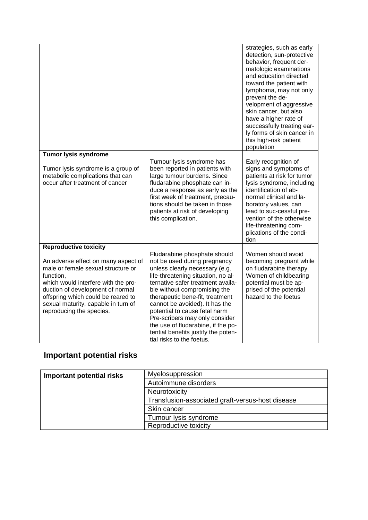|                                                                                                                                                                                                                                                                            |                                                                                                                                                                                                                                                                                                                                                                                                                                                             | strategies, such as early<br>detection, sun-protective<br>behavior, frequent der-<br>matologic examinations<br>and education directed<br>toward the patient with<br>lymphoma, may not only<br>prevent the de-<br>velopment of aggressive<br>skin cancer, but also<br>have a higher rate of<br>successfully treating ear-<br>ly forms of skin cancer in<br>this high-risk patient<br>population |
|----------------------------------------------------------------------------------------------------------------------------------------------------------------------------------------------------------------------------------------------------------------------------|-------------------------------------------------------------------------------------------------------------------------------------------------------------------------------------------------------------------------------------------------------------------------------------------------------------------------------------------------------------------------------------------------------------------------------------------------------------|------------------------------------------------------------------------------------------------------------------------------------------------------------------------------------------------------------------------------------------------------------------------------------------------------------------------------------------------------------------------------------------------|
| <b>Tumor lysis syndrome</b>                                                                                                                                                                                                                                                |                                                                                                                                                                                                                                                                                                                                                                                                                                                             |                                                                                                                                                                                                                                                                                                                                                                                                |
| Tumor lysis syndrome is a group of<br>metabolic complications that can<br>occur after treatment of cancer                                                                                                                                                                  | Tumour lysis syndrome has<br>been reported in patients with<br>large tumour burdens. Since<br>fludarabine phosphate can in-<br>duce a response as early as the<br>first week of treatment, precau-<br>tions should be taken in those<br>patients at risk of developing<br>this complication.                                                                                                                                                                | Early recognition of<br>signs and symptoms of<br>patients at risk for tumor<br>lysis syndrome, including<br>identification of ab-<br>normal clinical and la-<br>boratory values, can<br>lead to suc-cessful pre-<br>vention of the otherwise<br>life-threatening com-<br>plications of the condi-<br>tion                                                                                      |
| <b>Reproductive toxicity</b>                                                                                                                                                                                                                                               |                                                                                                                                                                                                                                                                                                                                                                                                                                                             |                                                                                                                                                                                                                                                                                                                                                                                                |
| An adverse effect on many aspect of<br>male or female sexual structure or<br>function,<br>which would interfere with the pro-<br>duction of development of normal<br>offspring which could be reared to<br>sexual maturity, capable in turn of<br>reproducing the species. | Fludarabine phosphate should<br>not be used during pregnancy<br>unless clearly necessary (e.g.<br>life-threatening situation, no al-<br>ternative safer treatment availa-<br>ble without compromising the<br>therapeutic bene-fit, treatment<br>cannot be avoided). It has the<br>potential to cause fetal harm<br>Pre-scribers may only consider<br>the use of fludarabine, if the po-<br>tential benefits justify the poten-<br>tial risks to the foetus. | Women should avoid<br>becoming pregnant while<br>on fludarabine therapy.<br>Women of childbearing<br>potential must be ap-<br>prised of the potential<br>hazard to the foetus                                                                                                                                                                                                                  |

### **Important potential risks**

| <b>Important potential risks</b> | Myelosuppression                                 |  |
|----------------------------------|--------------------------------------------------|--|
|                                  | Autoimmune disorders                             |  |
|                                  | Neurotoxicity                                    |  |
|                                  | Transfusion-associated graft-versus-host disease |  |
|                                  | Skin cancer                                      |  |
|                                  | Tumour lysis syndrome                            |  |
|                                  | Reproductive toxicity                            |  |